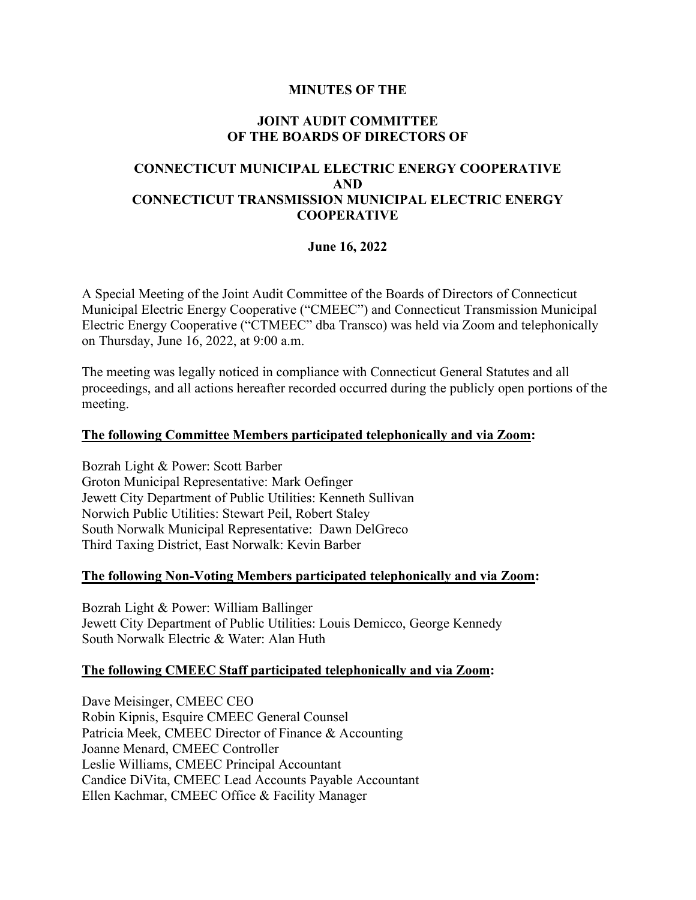# **MINUTES OF THE**

# **JOINT AUDIT COMMITTEE OF THE BOARDS OF DIRECTORS OF**

# **CONNECTICUT MUNICIPAL ELECTRIC ENERGY COOPERATIVE AND CONNECTICUT TRANSMISSION MUNICIPAL ELECTRIC ENERGY COOPERATIVE**

# **June 16, 2022**

A Special Meeting of the Joint Audit Committee of the Boards of Directors of Connecticut Municipal Electric Energy Cooperative ("CMEEC") and Connecticut Transmission Municipal Electric Energy Cooperative ("CTMEEC" dba Transco) was held via Zoom and telephonically on Thursday, June 16, 2022, at 9:00 a.m.

The meeting was legally noticed in compliance with Connecticut General Statutes and all proceedings, and all actions hereafter recorded occurred during the publicly open portions of the meeting.

#### **The following Committee Members participated telephonically and via Zoom:**

Bozrah Light & Power: Scott Barber Groton Municipal Representative: Mark Oefinger Jewett City Department of Public Utilities: Kenneth Sullivan Norwich Public Utilities: Stewart Peil, Robert Staley South Norwalk Municipal Representative: Dawn DelGreco Third Taxing District, East Norwalk: Kevin Barber

#### **The following Non-Voting Members participated telephonically and via Zoom:**

Bozrah Light & Power: William Ballinger Jewett City Department of Public Utilities: Louis Demicco, George Kennedy South Norwalk Electric & Water: Alan Huth

# **The following CMEEC Staff participated telephonically and via Zoom:**

Dave Meisinger, CMEEC CEO Robin Kipnis, Esquire CMEEC General Counsel Patricia Meek, CMEEC Director of Finance & Accounting Joanne Menard, CMEEC Controller Leslie Williams, CMEEC Principal Accountant Candice DiVita, CMEEC Lead Accounts Payable Accountant Ellen Kachmar, CMEEC Office & Facility Manager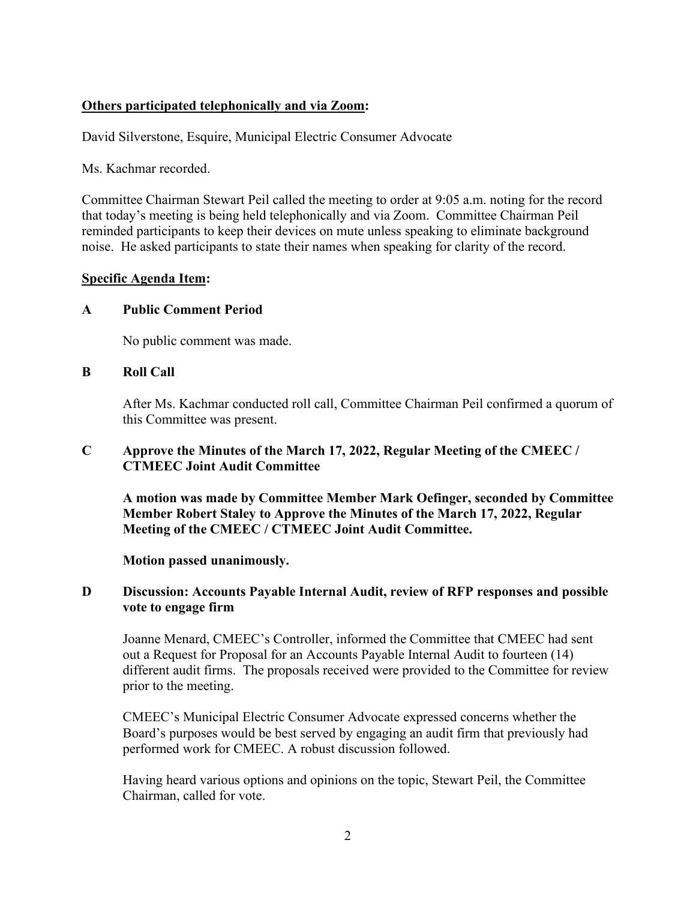# **Others participated telephonically and via Zoom:**

David Silverstone, Esquire, Municipal Electric Consumer Advocate

Ms. Kachmar recorded.

Committee Chairman Stewart Peil called the meeting to order at 9:05 a.m. noting for the record that today's meeting is being held telephonically and via Zoom. Committee Chairman Peil reminded participants to keep their devices on mute unless speaking to eliminate background noise. He asked participants to state their names when speaking for clarity of the record.

#### **Specific Agenda Item:**

#### **A Public Comment Period**

No public comment was made.

### **B Roll Call**

After Ms. Kachmar conducted roll call, Committee Chairman Peil confirmed a quorum of this Committee was present.

# **C Approve the Minutes of the March 17, 2022, Regular Meeting of the CMEEC / CTMEEC Joint Audit Committee**

**A motion was made by Committee Member Mark Oefinger, seconded by Committee Member Robert Staley to Approve the Minutes of the March 17, 2022, Regular Meeting of the CMEEC / CTMEEC Joint Audit Committee.**

#### **Motion passed unanimously.**

# **D** Discussion: Accounts Payable Internal Audit, review of RFP responses and possible **vote to engage firm**

Joanne Menard, CMEEC's Controller, informed the Committee that CMEEC had sent out a Request for Proposal for an Accounts Payable Internal Audit to fourteen (14) different audit firms. The proposals received were provided to the Committee for review prior to the meeting.

CMEEC's Municipal Electric Consumer Advocate expressed concerns whether the Board's purposes would be best served by engaging an audit firm that previously had performed work for CMEEC. A robust discussion followed.

 Having heard various options and opinions on the topic, Stewart Peil, the Committee Chairman, called for vote.